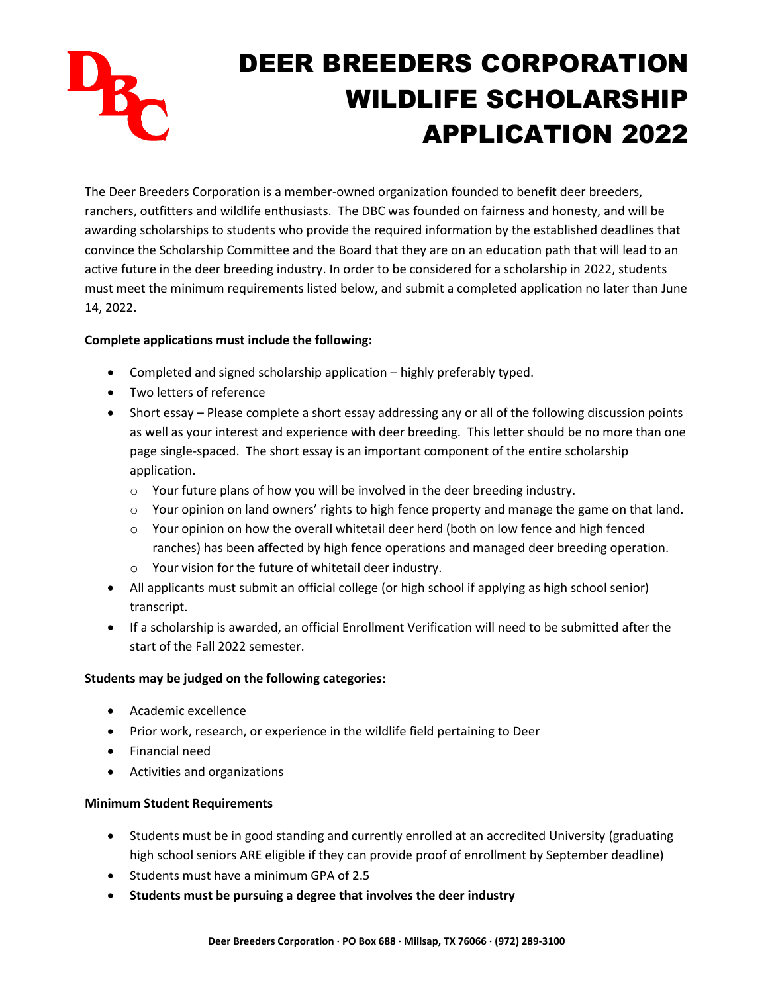

The Deer Breeders Corporation is a member-owned organization founded to benefit deer breeders, ranchers, outfitters and wildlife enthusiasts. The DBC was founded on fairness and honesty, and will be awarding scholarships to students who provide the required information by the established deadlines that convince the Scholarship Committee and the Board that they are on an education path that will lead to an active future in the deer breeding industry. In order to be considered for a scholarship in 2022, students must meet the minimum requirements listed below, and submit a completed application no later than June 14, 2022.

## **Complete applications must include the following:**

- Completed and signed scholarship application highly preferably typed.
- Two letters of reference
- Short essay Please complete a short essay addressing any or all of the following discussion points as well as your interest and experience with deer breeding. This letter should be no more than one page single-spaced. The short essay is an important component of the entire scholarship application.
	- o Your future plans of how you will be involved in the deer breeding industry.
	- $\circ$  Your opinion on land owners' rights to high fence property and manage the game on that land.
	- $\circ$  Your opinion on how the overall whitetail deer herd (both on low fence and high fenced ranches) has been affected by high fence operations and managed deer breeding operation.
	- o Your vision for the future of whitetail deer industry.
- All applicants must submit an official college (or high school if applying as high school senior) transcript.
- If a scholarship is awarded, an official Enrollment Verification will need to be submitted after the start of the Fall 2022 semester.

## **Students may be judged on the following categories:**

- Academic excellence
- Prior work, research, or experience in the wildlife field pertaining to Deer
- Financial need
- Activities and organizations

## **Minimum Student Requirements**

- Students must be in good standing and currently enrolled at an accredited University (graduating high school seniors ARE eligible if they can provide proof of enrollment by September deadline)
- Students must have a minimum GPA of 2.5
- **Students must be pursuing a degree that involves the deer industry**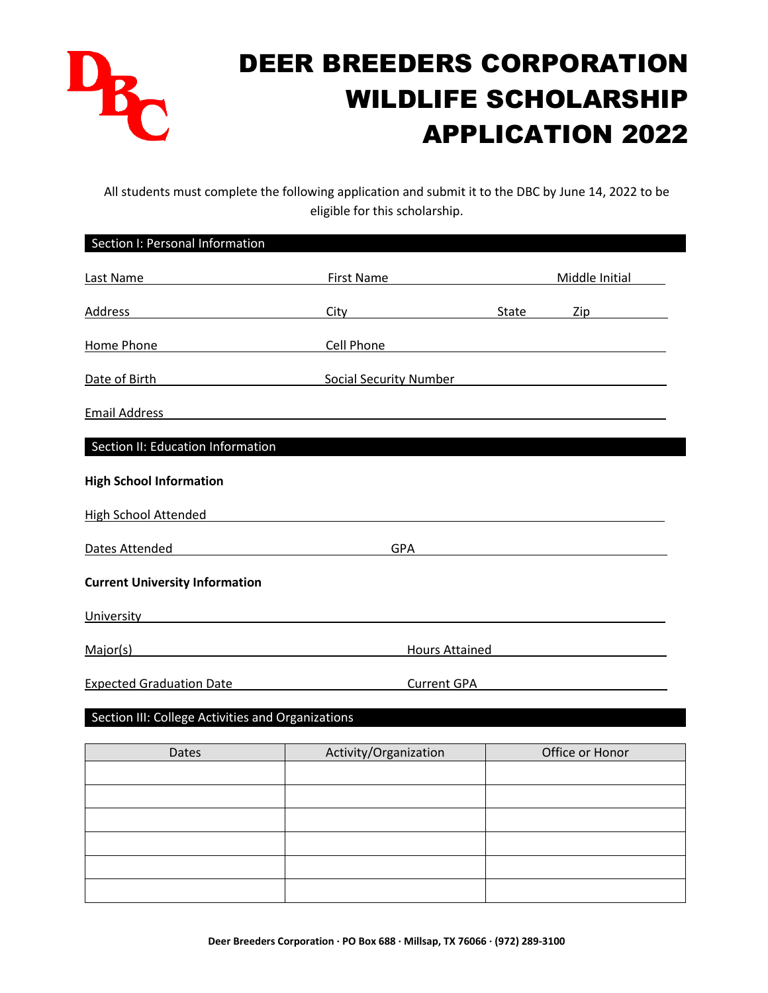

All students must complete the following application and submit it to the DBC by June 14, 2022 to be eligible for this scholarship.

| Section I: Personal Information                                                                                                                                                                                               |                                                                                                                                                                                                                                      |       |                                                            |  |
|-------------------------------------------------------------------------------------------------------------------------------------------------------------------------------------------------------------------------------|--------------------------------------------------------------------------------------------------------------------------------------------------------------------------------------------------------------------------------------|-------|------------------------------------------------------------|--|
| Last Name and the contract of the contract of the contract of the contract of the contract of the contract of the contract of the contract of the contract of the contract of the contract of the contract of the contract of | <b>First Name</b>                                                                                                                                                                                                                    |       | Middle Initial                                             |  |
| Address<br><u> 1989 - Johann Stein, Amerikaansk politiker (</u>                                                                                                                                                               |                                                                                                                                                                                                                                      | State | Zip                                                        |  |
| Home Phone                                                                                                                                                                                                                    | Cell Phone                                                                                                                                                                                                                           |       |                                                            |  |
| Date of Birth<br><u> 1980 - Johann Barbara, martin a</u>                                                                                                                                                                      | <b>Social Security Number</b>                                                                                                                                                                                                        |       | <u> 1980 - Johann Barn, amerikansk politiker (d. 1980)</u> |  |
| <b>Email Address</b>                                                                                                                                                                                                          | <u>and the state of the state of the state of the state of the state of the state of the state of the state of the state of the state of the state of the state of the state of the state of the state of the state of the state</u> |       |                                                            |  |
| Section II: Education Information                                                                                                                                                                                             |                                                                                                                                                                                                                                      |       |                                                            |  |
| <b>High School Information</b>                                                                                                                                                                                                |                                                                                                                                                                                                                                      |       |                                                            |  |
| <b>High School Attended</b>                                                                                                                                                                                                   |                                                                                                                                                                                                                                      |       |                                                            |  |
| Dates Attended                                                                                                                                                                                                                | <b>GPA</b>                                                                                                                                                                                                                           |       |                                                            |  |
| <b>Current University Information</b>                                                                                                                                                                                         |                                                                                                                                                                                                                                      |       |                                                            |  |
| University and the contract of the contract of the contract of the contract of the contract of the contract of                                                                                                                |                                                                                                                                                                                                                                      |       |                                                            |  |
| Major(s)                                                                                                                                                                                                                      | <b>Hours Attained</b>                                                                                                                                                                                                                |       |                                                            |  |
| <b>Expected Graduation Date</b>                                                                                                                                                                                               | <b>Current GPA</b>                                                                                                                                                                                                                   |       |                                                            |  |
|                                                                                                                                                                                                                               |                                                                                                                                                                                                                                      |       |                                                            |  |
| Section III: College Activities and Organizations                                                                                                                                                                             |                                                                                                                                                                                                                                      |       |                                                            |  |

| Dates | Activity/Organization | Office or Honor |
|-------|-----------------------|-----------------|
|       |                       |                 |
|       |                       |                 |
|       |                       |                 |
|       |                       |                 |
|       |                       |                 |
|       |                       |                 |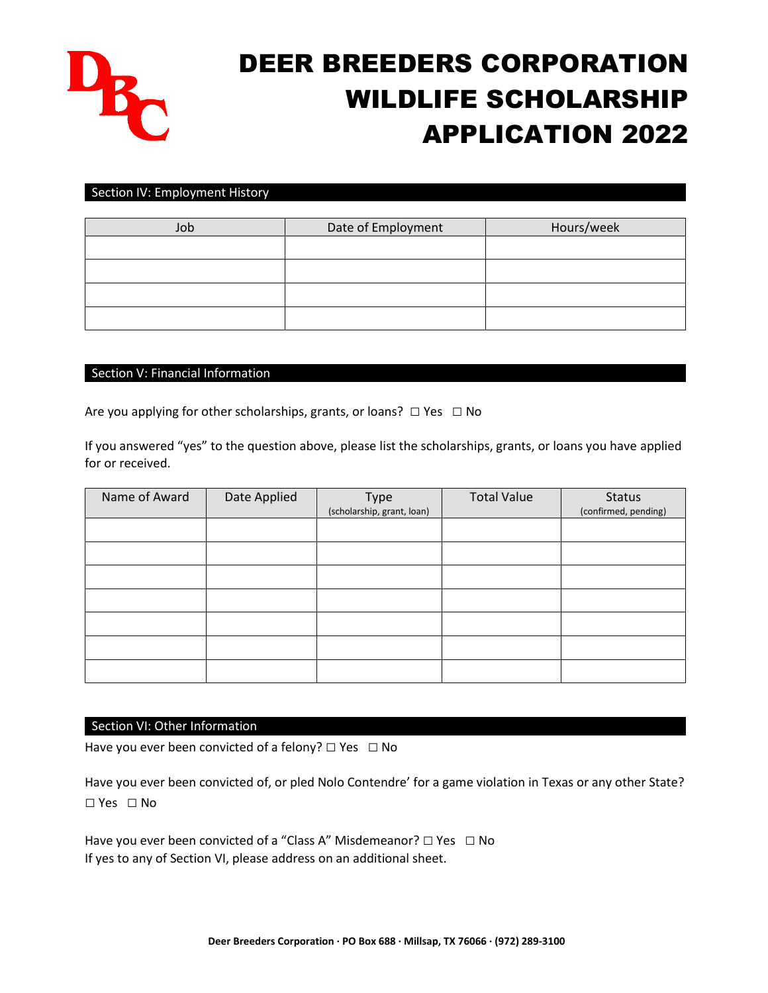

#### Section IV: Employment History

| Job | Date of Employment | Hours/week |
|-----|--------------------|------------|
|     |                    |            |
|     |                    |            |
|     |                    |            |
|     |                    |            |

### Section V: Financial Information

Are you applying for other scholarships, grants, or loans?  $\Box$  Yes  $\Box$  No

If you answered "yes" to the question above, please list the scholarships, grants, or loans you have applied for or received.

| Name of Award | Date Applied | Type<br>(scholarship, grant, loan) | <b>Total Value</b> | <b>Status</b><br>(confirmed, pending) |
|---------------|--------------|------------------------------------|--------------------|---------------------------------------|
|               |              |                                    |                    |                                       |
|               |              |                                    |                    |                                       |
|               |              |                                    |                    |                                       |
|               |              |                                    |                    |                                       |
|               |              |                                    |                    |                                       |
|               |              |                                    |                    |                                       |
|               |              |                                    |                    |                                       |

### Section VI: Other Information

Have you ever been convicted of a felony?  $\Box$  Yes  $\Box$  No

Have you ever been convicted of, or pled Nolo Contendre' for a game violation in Texas or any other State? □ Yes □ No

Have you ever been convicted of a "Class A" Misdemeanor? □ Yes □ No If yes to any of Section VI, please address on an additional sheet.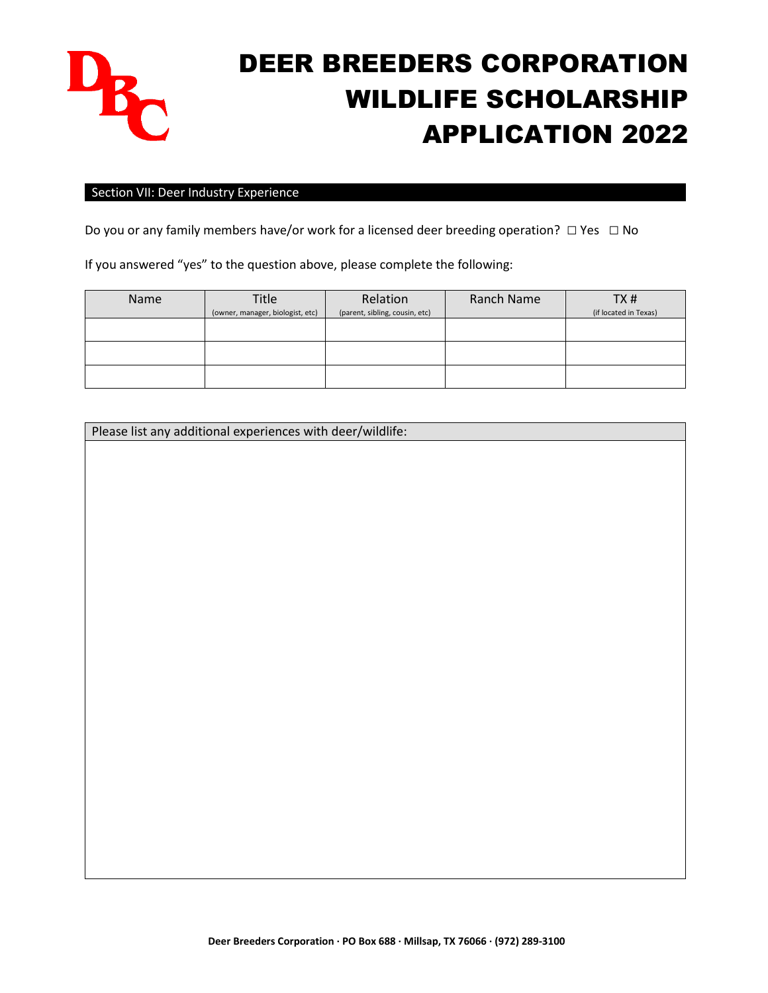

#### Section VII: Deer Industry Experience

Do you or any family members have/or work for a licensed deer breeding operation?  $□$  Yes  $□$  No

If you answered "yes" to the question above, please complete the following:

| <b>Name</b> | <b>Title</b>                     | Relation                       | Ranch Name | TX#                   |
|-------------|----------------------------------|--------------------------------|------------|-----------------------|
|             | (owner, manager, biologist, etc) | (parent, sibling, cousin, etc) |            | (if located in Texas) |
|             |                                  |                                |            |                       |
|             |                                  |                                |            |                       |
|             |                                  |                                |            |                       |
|             |                                  |                                |            |                       |
|             |                                  |                                |            |                       |
|             |                                  |                                |            |                       |

Please list any additional experiences with deer/wildlife: